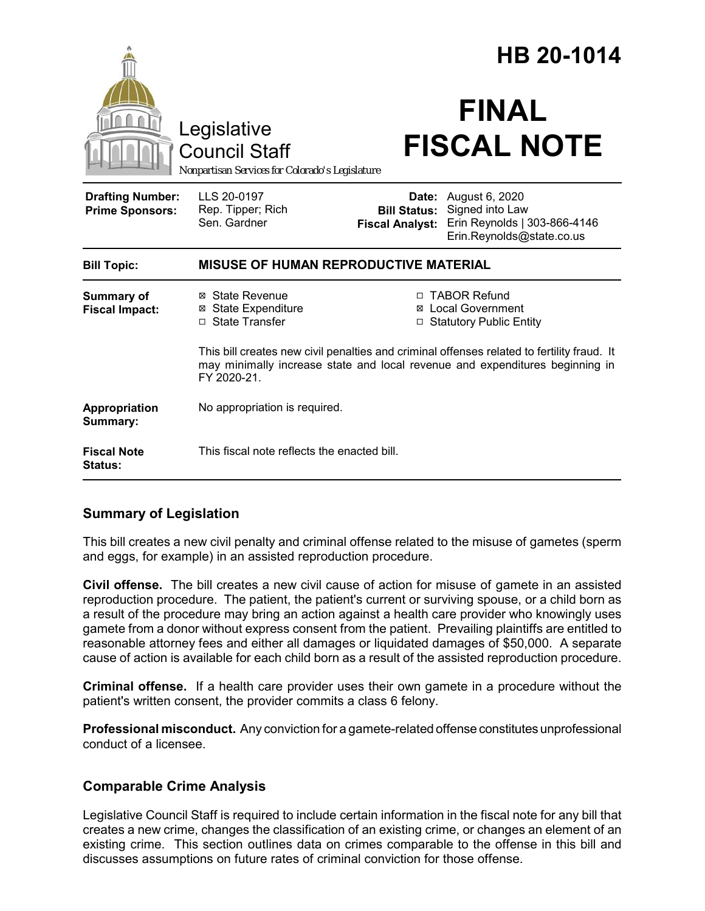|                                                   |                                                                                                                                                                                           |                                                        | HB 20-1014                                                                                     |  |
|---------------------------------------------------|-------------------------------------------------------------------------------------------------------------------------------------------------------------------------------------------|--------------------------------------------------------|------------------------------------------------------------------------------------------------|--|
|                                                   | Legislative<br><b>Council Staff</b><br>Nonpartisan Services for Colorado's Legislature                                                                                                    |                                                        | <b>FINAL</b><br><b>FISCAL NOTE</b>                                                             |  |
| <b>Drafting Number:</b><br><b>Prime Sponsors:</b> | LLS 20-0197<br>Rep. Tipper; Rich<br>Sen. Gardner                                                                                                                                          | Date:<br><b>Bill Status:</b><br><b>Fiscal Analyst:</b> | August 6, 2020<br>Signed into Law<br>Erin Reynolds   303-866-4146<br>Erin.Reynolds@state.co.us |  |
| <b>Bill Topic:</b>                                | <b>MISUSE OF HUMAN REPRODUCTIVE MATERIAL</b>                                                                                                                                              |                                                        |                                                                                                |  |
| <b>Summary of</b><br><b>Fiscal Impact:</b>        | ⊠ State Revenue<br><b>State Expenditure</b><br>⊠<br>□ State Transfer                                                                                                                      |                                                        | □ TABOR Refund<br>⊠ Local Government<br>□ Statutory Public Entity                              |  |
|                                                   | This bill creates new civil penalties and criminal offenses related to fertility fraud. It<br>may minimally increase state and local revenue and expenditures beginning in<br>FY 2020-21. |                                                        |                                                                                                |  |
| Appropriation<br>Summary:                         | No appropriation is required.                                                                                                                                                             |                                                        |                                                                                                |  |
| <b>Fiscal Note</b><br><b>Status:</b>              | This fiscal note reflects the enacted bill.                                                                                                                                               |                                                        |                                                                                                |  |

### **Summary of Legislation**

This bill creates a new civil penalty and criminal offense related to the misuse of gametes (sperm and eggs, for example) in an assisted reproduction procedure.

**Civil offense.** The bill creates a new civil cause of action for misuse of gamete in an assisted reproduction procedure. The patient, the patient's current or surviving spouse, or a child born as a result of the procedure may bring an action against a health care provider who knowingly uses gamete from a donor without express consent from the patient. Prevailing plaintiffs are entitled to reasonable attorney fees and either all damages or liquidated damages of \$50,000. A separate cause of action is available for each child born as a result of the assisted reproduction procedure.

**Criminal offense.** If a health care provider uses their own gamete in a procedure without the patient's written consent, the provider commits a class 6 felony.

**Professional misconduct.** Any conviction for a gamete-related offense constitutes unprofessional conduct of a licensee.

# **Comparable Crime Analysis**

Legislative Council Staff is required to include certain information in the fiscal note for any bill that creates a new crime, changes the classification of an existing crime, or changes an element of an existing crime. This section outlines data on crimes comparable to the offense in this bill and discusses assumptions on future rates of criminal conviction for those offense.